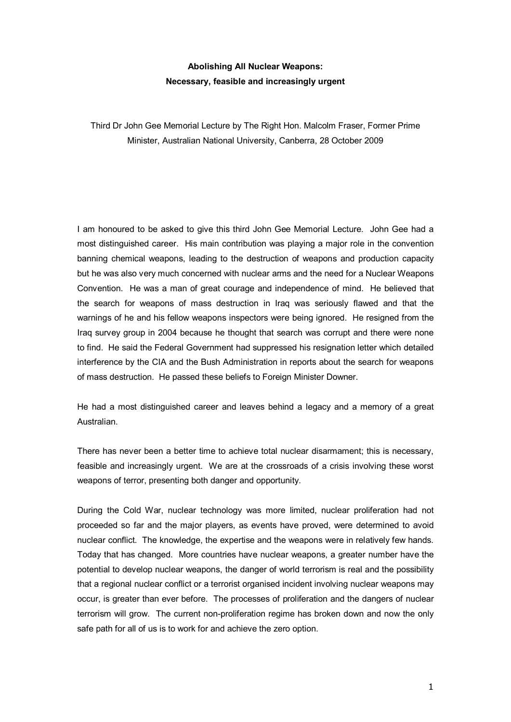## **Abolishing All Nuclear Weapons: Necessary, feasible and increasingly urgent**

Third Dr John Gee Memorial Lecture by The Right Hon. Malcolm Fraser, Former Prime Minister, Australian National University, Canberra, 28 October 2009

I am honoured to be asked to give this third John Gee Memorial Lecture. John Gee had a most distinguished career. His main contribution was playing a major role in the convention banning chemical weapons, leading to the destruction of weapons and production capacity but he was also very much concerned with nuclear arms and the need for a Nuclear Weapons Convention. He was a man of great courage and independence of mind. He believed that the search for weapons of mass destruction in Iraq was seriously flawed and that the warnings of he and his fellow weapons inspectors were being ignored. He resigned from the Iraq survey group in 2004 because he thought that search was corrupt and there were none to find. He said the Federal Government had suppressed his resignation letter which detailed interference by the CIA and the Bush Administration in reports about the search for weapons of mass destruction. He passed these beliefs to Foreign Minister Downer.

He had a most distinguished career and leaves behind a legacy and a memory of a great Australian.

There has never been a better time to achieve total nuclear disarmament; this is necessary, feasible and increasingly urgent. We are at the crossroads of a crisis involving these worst weapons of terror, presenting both danger and opportunity.

During the Cold War, nuclear technology was more limited, nuclear proliferation had not proceeded so far and the major players, as events have proved, were determined to avoid nuclear conflict. The knowledge, the expertise and the weapons were in relatively few hands. Today that has changed. More countries have nuclear weapons, a greater number have the potential to develop nuclear weapons, the danger of world terrorism is real and the possibility that a regional nuclear conflict or a terrorist organised incident involving nuclear weapons may occur, is greater than ever before. The processes of proliferation and the dangers of nuclear terrorism will grow. The current non-proliferation regime has broken down and now the only safe path for all of us is to work for and achieve the zero option.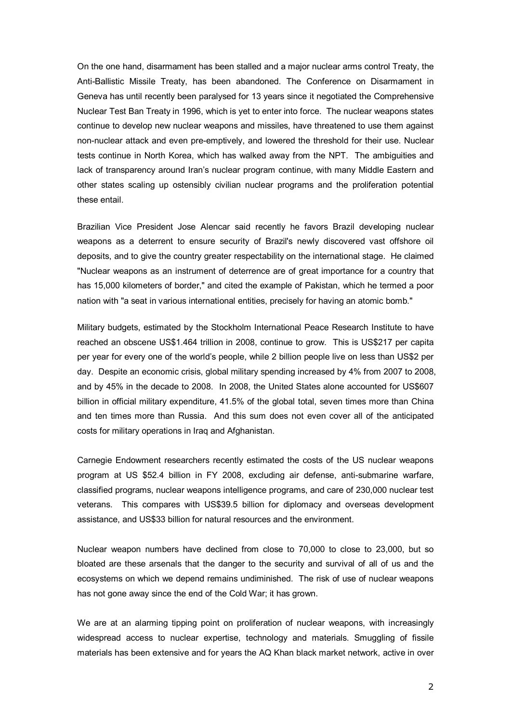On the one hand, disarmament has been stalled and a major nuclear arms control Treaty, the Anti-Ballistic Missile Treaty, has been abandoned. The Conference on Disarmament in Geneva has until recently been paralysed for 13 years since it negotiated the Comprehensive Nuclear Test Ban Treaty in 1996, which is yet to enter into force. The nuclear weapons states continue to develop new nuclear weapons and missiles, have threatened to use them against non-nuclear attack and even pre-emptively, and lowered the threshold for their use. Nuclear tests continue in North Korea, which has walked away from the NPT. The ambiguities and lack of transparency around Iran's nuclear program continue, with many Middle Eastern and other states scaling up ostensibly civilian nuclear programs and the proliferation potential these entail.

Brazilian Vice President Jose Alencar said recently he favors Brazil developing nuclear weapons as a deterrent to ensure security of Brazil's newly discovered vast offshore oil deposits, and to give the country greater respectability on the international stage. He claimed "Nuclear weapons as an instrument of deterrence are of great importance for a country that has 15,000 kilometers of border," and cited the example of Pakistan, which he termed a poor nation with "a seat in various international entities, precisely for having an atomic bomb."

Military budgets, estimated by the Stockholm International Peace Research Institute to have reached an obscene US\$1.464 trillion in 2008, continue to grow. This is US\$217 per capita per year for every one of the world's people, while 2 billion people live on less than US\$2 per day. Despite an economic crisis, global military spending increased by 4% from 2007 to 2008, and by 45% in the decade to 2008. In 2008, the United States alone accounted for US\$607 billion in official military expenditure, 41.5% of the global total, seven times more than China and ten times more than Russia. And this sum does not even cover all of the anticipated costs for military operations in Iraq and Afghanistan.

Carnegie Endowment researchers recently estimated the costs of the US nuclear weapons program at US \$52.4 billion in FY 2008, excluding air defense, antisubmarine warfare, classified programs, nuclear weapons intelligence programs, and care of 230,000 nuclear test veterans. This compares with US\$39.5 billion for diplomacy and overseas development assistance, and US\$33 billion for natural resources and the environment.

Nuclear weapon numbers have declined from close to 70,000 to close to 23,000, but so bloated are these arsenals that the danger to the security and survival of all of us and the ecosystems on which we depend remains undiminished. The risk of use of nuclear weapons has not gone away since the end of the Cold War; it has grown.

We are at an alarming tipping point on proliferation of nuclear weapons, with increasingly widespread access to nuclear expertise, technology and materials. Smuggling of fissile materials has been extensive and for years the AQ Khan black market network, active in over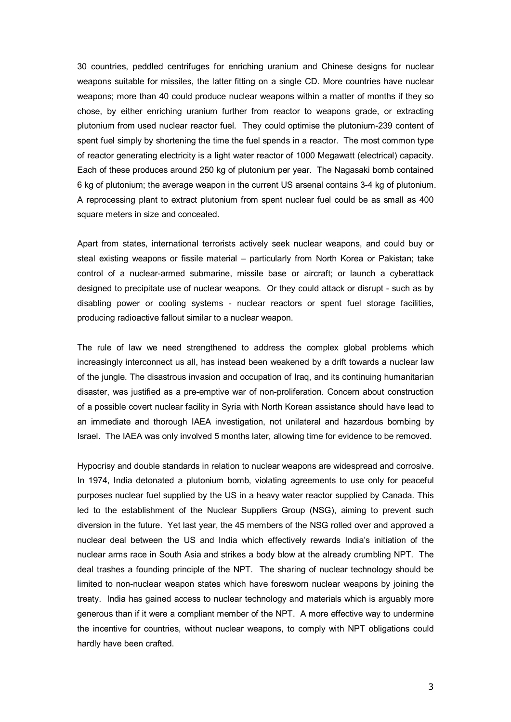30 countries, peddled centrifuges for enriching uranium and Chinese designs for nuclear weapons suitable for missiles, the latter fitting on a single CD. More countries have nuclear weapons; more than 40 could produce nuclear weapons within a matter of months if they so chose, by either enriching uranium further from reactor to weapons grade, or extracting plutonium from used nuclear reactor fuel. They could optimise the plutonium-239 content of spent fuel simply by shortening the time the fuel spends in a reactor. The most common type of reactor generating electricity is a light water reactor of 1000 Megawatt (electrical) capacity. Each of these produces around 250 kg of plutonium per year. The Nagasaki bomb contained 6 kg of plutonium; the average weapon in the current US arsenal contains 34 kg of plutonium. A reprocessing plant to extract plutonium from spent nuclear fuel could be as small as 400 square meters in size and concealed.

Apart from states, international terrorists actively seek nuclear weapons, and could buy or steal existing weapons or fissile material – particularly from North Korea or Pakistan; take control of a nuclear-armed submarine, missile base or aircraft; or launch a cyberattack designed to precipitate use of nuclear weapons. Or they could attack or disrupt - such as by disabling power or cooling systems - nuclear reactors or spent fuel storage facilities, producing radioactive fallout similar to a nuclear weapon.

The rule of law we need strengthened to address the complex global problems which increasingly interconnect us all, has instead been weakened by a drift towards a nuclear law of the jungle. The disastrous invasion and occupation of Iraq, and its continuing humanitarian disaster, was justified as a pre-emptive war of non-proliferation. Concern about construction of a possible covert nuclear facility in Syria with North Korean assistance should have lead to an immediate and thorough IAEA investigation, not unilateral and hazardous bombing by Israel. The IAEA was only involved 5 months later, allowing time for evidence to be removed.

Hypocrisy and double standards in relation to nuclear weapons are widespread and corrosive. In 1974, India detonated a plutonium bomb, violating agreements to use only for peaceful purposes nuclear fuel supplied by the US in a heavy water reactor supplied by Canada. This led to the establishment of the Nuclear Suppliers Group (NSG), aiming to prevent such diversion in the future. Yet last year, the 45 members of the NSG rolled over and approved a nuclear deal between the US and India which effectively rewards India's initiation of the nuclear arms race in South Asia and strikes a body blow at the already crumbling NPT. The deal trashes a founding principle of the NPT. The sharing of nuclear technology should be limited to non-nuclear weapon states which have foresworn nuclear weapons by joining the treaty. India has gained access to nuclear technology and materials which is arguably more generous than if it were a compliant member of the NPT. A more effective way to undermine the incentive for countries, without nuclear weapons, to comply with NPT obligations could hardly have been crafted.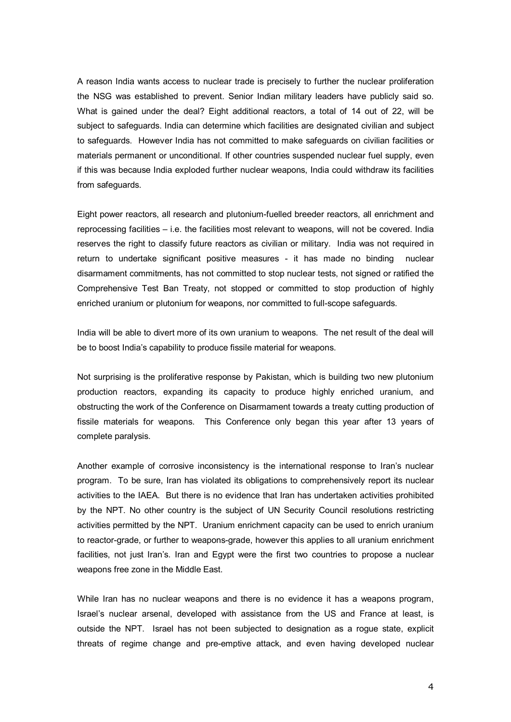A reason India wants access to nuclear trade is precisely to further the nuclear proliferation the NSG was established to prevent. Senior Indian military leaders have publicly said so. What is gained under the deal? Eight additional reactors, a total of 14 out of 22, will be subject to safeguards. India can determine which facilities are designated civilian and subject to safeguards. However India has not committed to make safeguards on civilian facilities or materials permanent or unconditional. If other countries suspended nuclear fuel supply, even if this was because India exploded further nuclear weapons, India could withdraw its facilities from safeguards.

Eight power reactors, all research and plutonium-fuelled breeder reactors, all enrichment and reprocessing facilities – i.e. the facilities most relevant to weapons, will not be covered. India reserves the right to classify future reactors as civilian or military. India was not required in return to undertake significant positive measures it has made no binding nuclear disarmament commitments, has not committed to stop nuclear tests, not signed or ratified the Comprehensive Test Ban Treaty, not stopped or committed to stop production of highly enriched uranium or plutonium for weapons, nor committed to full-scope safeguards.

India will be able to divert more of its own uranium to weapons. The net result of the deal will be to boost India's capability to produce fissile material for weapons.

Not surprising is the proliferative response by Pakistan, which is building two new plutonium production reactors, expanding its capacity to produce highly enriched uranium, and obstructing the work of the Conference on Disarmament towards a treaty cutting production of fissile materials for weapons. This Conference only began this year after 13 years of complete paralysis.

Another example of corrosive inconsistency is the international response to Iran's nuclear program. To be sure, Iran has violated its obligations to comprehensively report its nuclear activities to the IAEA. But there is no evidence that Iran has undertaken activities prohibited by the NPT. No other country is the subject of UN Security Council resolutions restricting activities permitted by the NPT. Uranium enrichment capacity can be used to enrich uranium to reactor-grade, or further to weapons-grade, however this applies to all uranium enrichment facilities, not just Iran's. Iran and Egypt were the first two countries to propose a nuclear weapons free zone in the Middle East.

While Iran has no nuclear weapons and there is no evidence it has a weapons program, Israel's nuclear arsenal, developed with assistance from the US and France at least, is outside the NPT. Israel has not been subjected to designation as a rogue state, explicit threats of regime change and pre-emptive attack, and even having developed nuclear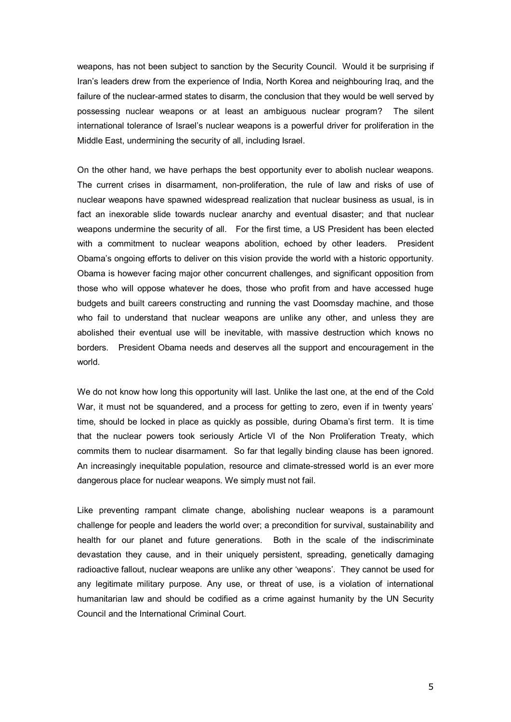weapons, has not been subject to sanction by the Security Council. Would it be surprising if Iran's leaders drew from the experience of India, North Korea and neighbouring Iraq, and the failure of the nuclear-armed states to disarm, the conclusion that they would be well served by possessing nuclear weapons or at least an ambiguous nuclear program? The silent international tolerance of Israel's nuclear weapons is a powerful driver for proliferation in the Middle East, undermining the security of all, including Israel.

On the other hand, we have perhaps the best opportunity ever to abolish nuclear weapons. The current crises in disarmament, non-proliferation, the rule of law and risks of use of nuclear weapons have spawned widespread realization that nuclear business as usual, is in fact an inexorable slide towards nuclear anarchy and eventual disaster; and that nuclear weapons undermine the security of all. For the first time, a US President has been elected with a commitment to nuclear weapons abolition, echoed by other leaders. President Obama's ongoing efforts to deliver on this vision provide the world with a historic opportunity. Obama is however facing major other concurrent challenges, and significant opposition from those who will oppose whatever he does, those who profit from and have accessed huge budgets and built careers constructing and running the vast Doomsday machine, and those who fail to understand that nuclear weapons are unlike any other, and unless they are abolished their eventual use will be inevitable, with massive destruction which knows no borders. President Obama needs and deserves all the support and encouragement in the world.

We do not know how long this opportunity will last. Unlike the last one, at the end of the Cold War, it must not be squandered, and a process for getting to zero, even if in twenty years' time, should be locked in place as quickly as possible, during Obama's first term. It is time that the nuclear powers took seriously Article VI of the Non Proliferation Treaty, which commits them to nuclear disarmament. So far that legally binding clause has been ignored. An increasingly inequitable population, resource and climate-stressed world is an ever more dangerous place for nuclear weapons. We simply must not fail.

Like preventing rampant climate change, abolishing nuclear weapons is a paramount challenge for people and leaders the world over; a precondition for survival, sustainability and health for our planet and future generations. Both in the scale of the indiscriminate devastation they cause, and in their uniquely persistent, spreading, genetically damaging radioactive fallout, nuclear weapons are unlike any other 'weapons'. They cannot be used for any legitimate military purpose. Any use, or threat of use, is a violation of international humanitarian law and should be codified as a crime against humanity by the UN Security Council and the International Criminal Court.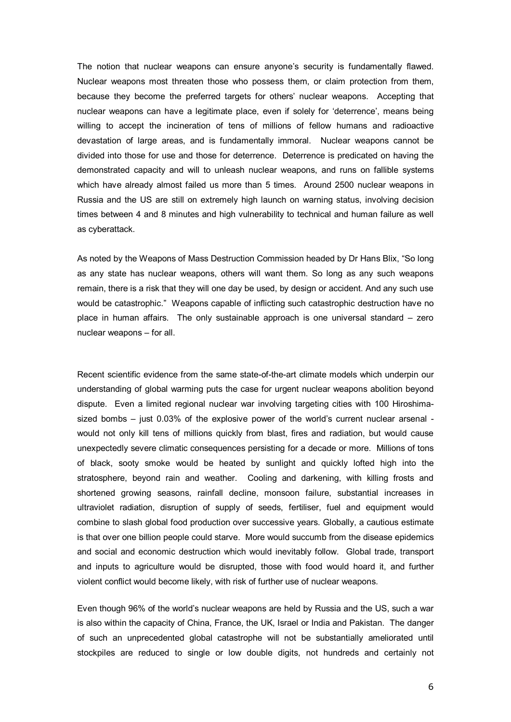The notion that nuclear weapons can ensure anyone's security is fundamentally flawed. Nuclear weapons most threaten those who possess them, or claim protection from them, because they become the preferred targets for others' nuclear weapons. Accepting that nuclear weapons can have a legitimate place, even if solely for 'deterrence', means being willing to accept the incineration of tens of millions of fellow humans and radioactive devastation of large areas, and is fundamentally immoral. Nuclear weapons cannot be divided into those for use and those for deterrence. Deterrence is predicated on having the demonstrated capacity and will to unleash nuclear weapons, and runs on fallible systems which have already almost failed us more than 5 times. Around 2500 nuclear weapons in Russia and the US are still on extremely high launch on warning status, involving decision times between 4 and 8 minutes and high vulnerability to technical and human failure as well as cyberattack.

As noted by the Weapons of Mass Destruction Commission headed by Dr Hans Blix, "So long as any state has nuclear weapons, others will want them. So long as any such weapons remain, there is a risk that they will one day be used, by design or accident. And any such use would be catastrophic." Weapons capable of inflicting such catastrophic destruction have no place in human affairs. The only sustainable approach is one universal standard – zero nuclear weapons – for all.

Recent scientific evidence from the same state-of-the-art climate models which underpin our understanding of global warming puts the case for urgent nuclear weapons abolition beyond dispute. Even a limited regional nuclear war involving targeting cities with 100 Hiroshima sized bombs  $-$  just 0.03% of the explosive power of the world's current nuclear arsenal would not only kill tens of millions quickly from blast, fires and radiation, but would cause unexpectedly severe climatic consequences persisting for a decade or more. Millions of tons of black, sooty smoke would be heated by sunlight and quickly lofted high into the stratosphere, beyond rain and weather. Cooling and darkening, with killing frosts and shortened growing seasons, rainfall decline, monsoon failure, substantial increases in ultraviolet radiation, disruption of supply of seeds, fertiliser, fuel and equipment would combine to slash global food production over successive years. Globally, a cautious estimate is that over one billion people could starve. More would succumb from the disease epidemics and social and economic destruction which would inevitably follow. Global trade, transport and inputs to agriculture would be disrupted, those with food would hoard it, and further violent conflict would become likely, with risk of further use of nuclear weapons.

Even though 96% of the world's nuclear weapons are held by Russia and the US, such a war is also within the capacity of China, France, the UK, Israel or India and Pakistan. The danger of such an unprecedented global catastrophe will not be substantially ameliorated until stockpiles are reduced to single or low double digits, not hundreds and certainly not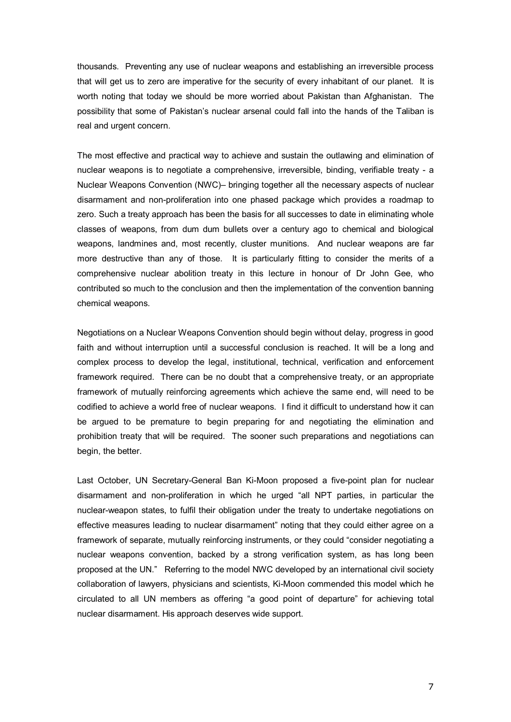thousands. Preventing any use of nuclear weapons and establishing an irreversible process that will get us to zero are imperative for the security of every inhabitant of our planet. It is worth noting that today we should be more worried about Pakistan than Afghanistan. The possibility that some of Pakistan's nuclear arsenal could fall into the hands of the Taliban is real and urgent concern.

The most effective and practical way to achieve and sustain the outlawing and elimination of nuclear weapons is to negotiate a comprehensive, irreversible, binding, verifiable treaty - a Nuclear Weapons Convention (NWC)– bringing together all the necessary aspects of nuclear disarmament and non-proliferation into one phased package which provides a roadmap to zero. Such a treaty approach has been the basis for all successes to date in eliminating whole classes of weapons, from dum dum bullets over a century ago to chemical and biological weapons, landmines and, most recently, cluster munitions. And nuclear weapons are far more destructive than any of those. It is particularly fitting to consider the merits of a comprehensive nuclear abolition treaty in this lecture in honour of Dr John Gee, who contributed so much to the conclusion and then the implementation of the convention banning chemical weapons.

Negotiations on a Nuclear Weapons Convention should begin without delay, progress in good faith and without interruption until a successful conclusion is reached. It will be a long and complex process to develop the legal, institutional, technical, verification and enforcement framework required. There can be no doubt that a comprehensive treaty, or an appropriate framework of mutually reinforcing agreements which achieve the same end, will need to be codified to achieve a world free of nuclear weapons. I find it difficult to understand how it can be argued to be premature to begin preparing for and negotiating the elimination and prohibition treaty that will be required. The sooner such preparations and negotiations can begin, the better.

Last October, UN Secretary-General Ban Ki-Moon proposed a five-point plan for nuclear disarmament and non-proliferation in which he urged "all NPT parties, in particular the nuclear-weapon states, to fulfil their obligation under the treaty to undertake negotiations on effective measures leading to nuclear disarmament" noting that they could either agree on a framework of separate, mutually reinforcing instruments, or they could "consider negotiating a nuclear weapons convention, backed by a strong verification system, as has long been proposed at the UN." Referring to the model NWC developed by an international civil society collaboration of lawyers, physicians and scientists, Ki-Moon commended this model which he circulated to all UN members as offering "a good point of departure" for achieving total nuclear disarmament. His approach deserves wide support.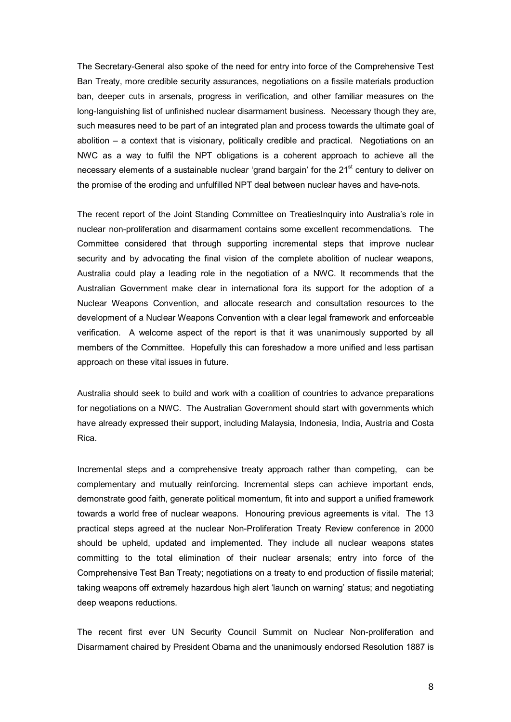The Secretary-General also spoke of the need for entry into force of the Comprehensive Test Ban Treaty, more credible security assurances, negotiations on a fissile materials production ban, deeper cuts in arsenals, progress in verification, and other familiar measures on the long-languishing list of unfinished nuclear disarmament business. Necessary though they are, such measures need to be part of an integrated plan and process towards the ultimate goal of abolition – a context that is visionary, politically credible and practical. Negotiations on an NWC as a way to fulfil the NPT obligations is a coherent approach to achieve all the necessary elements of a sustainable nuclear 'grand bargain' for the 21<sup>st</sup> century to deliver on the promise of the eroding and unfulfilled NPT deal between nuclear haves and have-nots.

The recent report of the Joint Standing Committee on TreatiesInquiry into Australia's role in nuclear non-proliferation and disarmament contains some excellent recommendations. The Committee considered that through supporting incremental steps that improve nuclear security and by advocating the final vision of the complete abolition of nuclear weapons, Australia could play a leading role in the negotiation of a NWC. It recommends that the Australian Government make clear in international fora its support for the adoption of a Nuclear Weapons Convention, and allocate research and consultation resources to the development of a Nuclear Weapons Convention with a clear legal framework and enforceable verification. A welcome aspect of the report is that it was unanimously supported by all members of the Committee. Hopefully this can foreshadow a more unified and less partisan approach on these vital issues in future.

Australia should seek to build and work with a coalition of countries to advance preparations for negotiations on a NWC. The Australian Government should start with governments which have already expressed their support, including Malaysia, Indonesia, India, Austria and Costa Rica.

Incremental steps and a comprehensive treaty approach rather than competing, can be complementary and mutually reinforcing. Incremental steps can achieve important ends, demonstrate good faith, generate political momentum, fit into and support a unified framework towards a world free of nuclear weapons. Honouring previous agreements is vital. The 13 practical steps agreed at the nuclear Non-Proliferation Treaty Review conference in 2000 should be upheld, updated and implemented. They include all nuclear weapons states committing to the total elimination of their nuclear arsenals; entry into force of the Comprehensive Test Ban Treaty; negotiations on a treaty to end production of fissile material; taking weapons off extremely hazardous high alert 'launch on warning' status; and negotiating deep weapons reductions.

The recent first ever UN Security Council Summit on Nuclear Non-proliferation and Disarmament chaired by President Obama and the unanimously endorsed Resolution 1887 is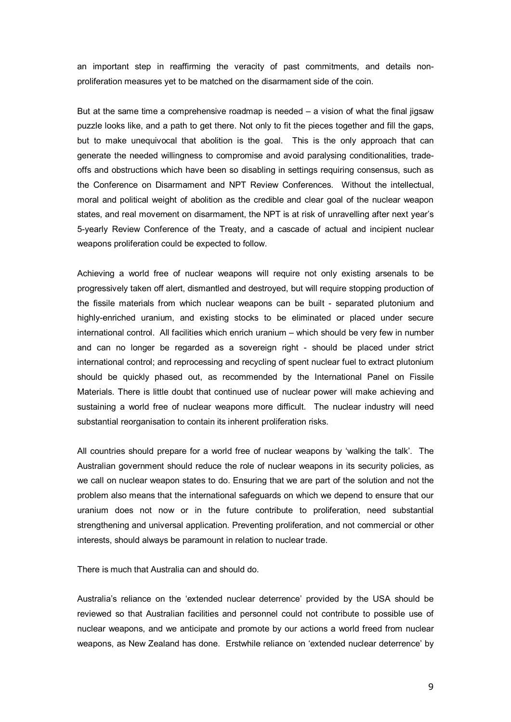an important step in reaffirming the veracity of past commitments, and details non proliferation measures yet to be matched on the disarmament side of the coin.

But at the same time a comprehensive roadmap is needed – a vision of what the final jigsaw puzzle looks like, and a path to get there. Not only to fit the pieces together and fill the gaps, but to make unequivocal that abolition is the goal. This is the only approach that can generate the needed willingness to compromise and avoid paralysing conditionalities, trade offs and obstructions which have been so disabling in settings requiring consensus, such as the Conference on Disarmament and NPT Review Conferences. Without the intellectual, moral and political weight of abolition as the credible and clear goal of the nuclear weapon states, and real movement on disarmament, the NPT is at risk of unravelling after next year's 5yearly Review Conference of the Treaty, and a cascade of actual and incipient nuclear weapons proliferation could be expected to follow.

Achieving a world free of nuclear weapons will require not only existing arsenals to be progressively taken off alert, dismantled and destroyed, but will require stopping production of the fissile materials from which nuclear weapons can be built - separated plutonium and highly-enriched uranium, and existing stocks to be eliminated or placed under secure international control. All facilities which enrich uranium – which should be very few in number and can no longer be regarded as a sovereign right - should be placed under strict international control; and reprocessing and recycling of spent nuclear fuel to extract plutonium should be quickly phased out, as recommended by the International Panel on Fissile Materials. There is little doubt that continued use of nuclear power will make achieving and sustaining a world free of nuclear weapons more difficult. The nuclear industry will need substantial reorganisation to contain its inherent proliferation risks.

All countries should prepare for a world free of nuclear weapons by 'walking the talk'. The Australian government should reduce the role of nuclear weapons in its security policies, as we call on nuclear weapon states to do. Ensuring that we are part of the solution and not the problem also means that the international safeguards on which we depend to ensure that our uranium does not now or in the future contribute to proliferation, need substantial strengthening and universal application. Preventing proliferation, and not commercial or other interests, should always be paramount in relation to nuclear trade.

There is much that Australia can and should do.

Australia's reliance on the 'extended nuclear deterrence' provided by the USA should be reviewed so that Australian facilities and personnel could not contribute to possible use of nuclear weapons, and we anticipate and promote by our actions a world freed from nuclear weapons, as New Zealand has done. Erstwhile reliance on 'extended nuclear deterrence' by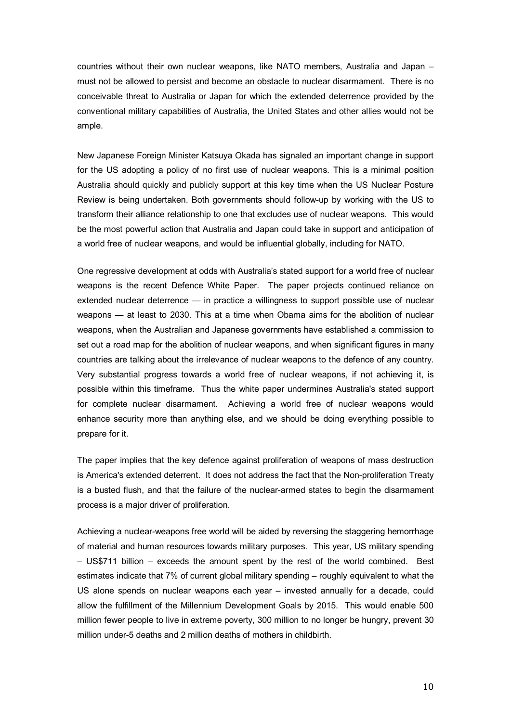countries without their own nuclear weapons, like NATO members, Australia and Japan – must not be allowed to persist and become an obstacle to nuclear disarmament. There is no conceivable threat to Australia or Japan for which the extended deterrence provided by the conventional military capabilities of Australia, the United States and other allies would not be ample.

New Japanese Foreign Minister Katsuya Okada has signaled an important change in support for the US adopting a policy of no first use of nuclear weapons. This is a minimal position Australia should quickly and publicly support at this key time when the US Nuclear Posture Review is being undertaken. Both governments should followup by working with the US to transform their alliance relationship to one that excludes use of nuclear weapons. This would be the most powerful action that Australia and Japan could take in support and anticipation of a world free of nuclear weapons, and would be influential globally, including for NATO.

One regressive development at odds with Australia's stated support for a world free of nuclear weapons is the recent Defence White Paper. The paper projects continued reliance on extended nuclear deterrence — in practice a willingness to support possible use of nuclear weapons — at least to 2030. This at a time when Obama aims for the abolition of nuclear weapons, when the Australian and Japanese governments have established a commission to set out a road map for the abolition of nuclear weapons, and when significant figures in many countries are talking about the irrelevance of nuclear weapons to the defence of any country. Very substantial progress towards a world free of nuclear weapons, if not achieving it, is possible within this timeframe. Thus the white paper undermines Australia's stated support for complete nuclear disarmament. Achieving a world free of nuclear weapons would enhance security more than anything else, and we should be doing everything possible to prepare for it.

The paper implies that the key defence against proliferation of weapons of mass destruction is America's extended deterrent. It does not address the fact that the Non-proliferation Treaty is a busted flush, and that the failure of the nuclear-armed states to begin the disarmament process is a major driver of proliferation.

Achieving a nuclear-weapons free world will be aided by reversing the staggering hemorrhage of material and human resources towards military purposes. This year, US military spending – US\$711 billion – exceeds the amount spent by the rest of the world combined. Best estimates indicate that 7% of current global military spending – roughly equivalent to what the US alone spends on nuclear weapons each year – invested annually for a decade, could allow the fulfillment of the Millennium Development Goals by 2015. This would enable 500 million fewer people to live in extreme poverty, 300 million to no longer be hungry, prevent 30 million under-5 deaths and 2 million deaths of mothers in childbirth.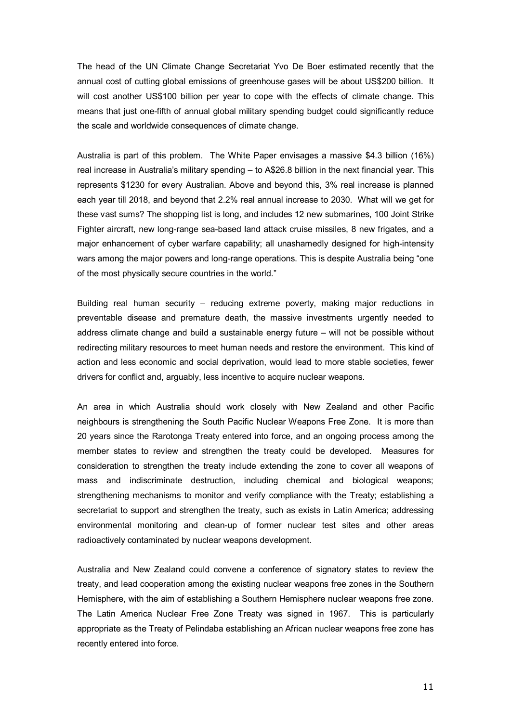The head of the UN Climate Change Secretariat Yvo De Boer estimated recently that the annual cost of cutting global emissions of greenhouse gases will be about US\$200 billion. It will cost another US\$100 billion per vear to cope with the effects of climate change. This means that just one-fifth of annual global military spending budget could significantly reduce the scale and worldwide consequences of climate change.

Australia is part of this problem. The White Paper envisages a massive \$4.3 billion (16%) real increase in Australia's military spending – to A\$26.8 billion in the next financial year. This represents \$1230 for every Australian. Above and beyond this, 3% real increase is planned each year till 2018, and beyond that 2.2% real annual increase to 2030. What will we get for these vast sums? The shopping list is long, and includes 12 new submarines, 100 Joint Strike Fighter aircraft, new long-range sea-based land attack cruise missiles, 8 new frigates, and a major enhancement of cyber warfare capability; all unashamedly designed for high-intensity wars among the major powers and long-range operations. This is despite Australia being "one of the most physically secure countries in the world."

Building real human security – reducing extreme poverty, making major reductions in preventable disease and premature death, the massive investments urgently needed to address climate change and build a sustainable energy future – will not be possible without redirecting military resources to meet human needs and restore the environment. This kind of action and less economic and social deprivation, would lead to more stable societies, fewer drivers for conflict and, arguably, less incentive to acquire nuclear weapons.

An area in which Australia should work closely with New Zealand and other Pacific neighbours is strengthening the South Pacific Nuclear Weapons Free Zone. It is more than 20 years since the Rarotonga Treaty entered into force, and an ongoing process among the member states to review and strengthen the treaty could be developed. Measures for consideration to strengthen the treaty include extending the zone to cover all weapons of mass and indiscriminate destruction, including chemical and biological weapons; strengthening mechanisms to monitor and verify compliance with the Treaty; establishing a secretariat to support and strengthen the treaty, such as exists in Latin America; addressing environmental monitoring and clean-up of former nuclear test sites and other areas radioactively contaminated by nuclear weapons development.

Australia and New Zealand could convene a conference of signatory states to review the treaty, and lead cooperation among the existing nuclear weapons free zones in the Southern Hemisphere, with the aim of establishing a Southern Hemisphere nuclear weapons free zone. The Latin America Nuclear Free Zone Treaty was signed in 1967. This is particularly appropriate as the Treaty of Pelindaba establishing an African nuclear weapons free zone has recently entered into force.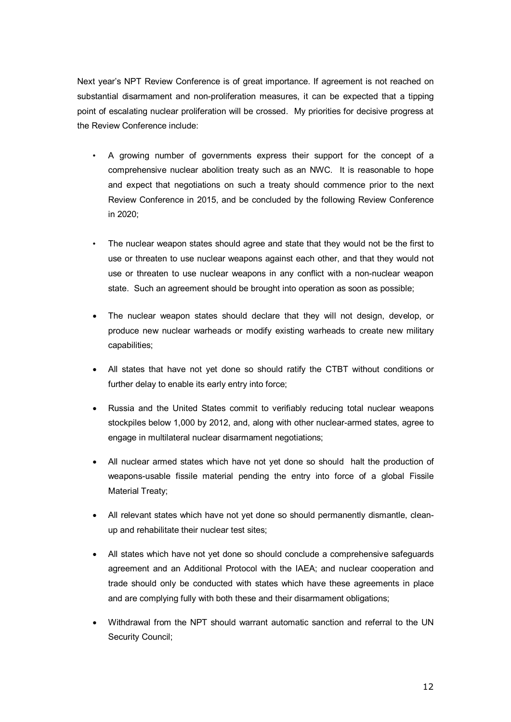Next year's NPT Review Conference is of great importance. If agreement is not reached on substantial disarmament and non-proliferation measures, it can be expected that a tipping point of escalating nuclear proliferation will be crossed. My priorities for decisive progress at the Review Conference include:

- A growing number of governments express their support for the concept of a comprehensive nuclear abolition treaty such as an NWC. It is reasonable to hope and expect that negotiations on such a treaty should commence prior to the next Review Conference in 2015, and be concluded by the following Review Conference in 2020;
- The nuclear weapon states should agree and state that they would not be the first to use or threaten to use nuclear weapons against each other, and that they would not use or threaten to use nuclear weapons in any conflict with a non-nuclear weapon state. Such an agreement should be brought into operation as soon as possible;
- The nuclear weapon states should declare that they will not design, develop, or produce new nuclear warheads or modify existing warheads to create new military capabilities;
- · All states that have not yet done so should ratify the CTBT without conditions or further delay to enable its early entry into force;
- Russia and the United States commit to verifiably reducing total nuclear weapons stockpiles below 1,000 by 2012, and, along with other nuclear-armed states, agree to engage in multilateral nuclear disarmament negotiations;
- · All nuclear armed states which have not yet done so should halt the production of weapons-usable fissile material pending the entry into force of a global Fissile Material Treaty;
- All relevant states which have not yet done so should permanently dismantle, cleanup and rehabilitate their nuclear test sites;
- · All states which have not yet done so should conclude a comprehensive safeguards agreement and an Additional Protocol with the IAEA; and nuclear cooperation and trade should only be conducted with states which have these agreements in place and are complying fully with both these and their disarmament obligations;
- Withdrawal from the NPT should warrant automatic sanction and referral to the UN Security Council;